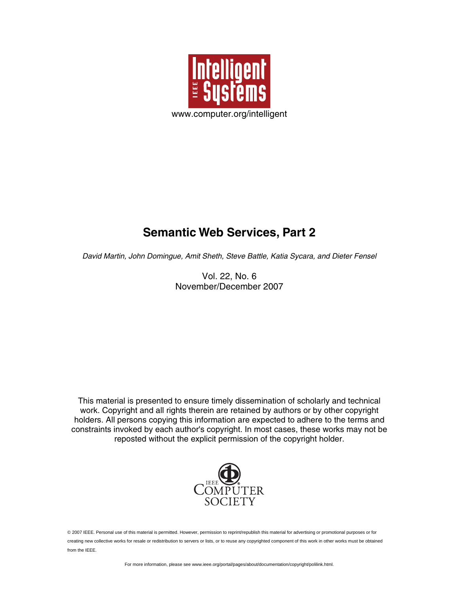

# **Semantic Web Services, Part 2**

*David Martin, John Domingue, Amit Sheth, Steve Battle, Katia Sycara, and Dieter Fensel* 

Vol. 22, No. 6 November/December 2007

This material is presented to ensure timely dissemination of scholarly and technical work. Copyright and all rights therein are retained by authors or by other copyright holders. All persons copying this information are expected to adhere to the terms and constraints invoked by each author's copyright. In most cases, these works may not be reposted without the explicit permission of the copyright holder.



© 2007 IEEE. Personal use of this material is permitted. However, permission to reprint/republish this material for advertising or promotional purposes or for creating new collective works for resale or redistribution to servers or lists, or to reuse any copyrighted component of this work in other works must be obtained from the IEEE.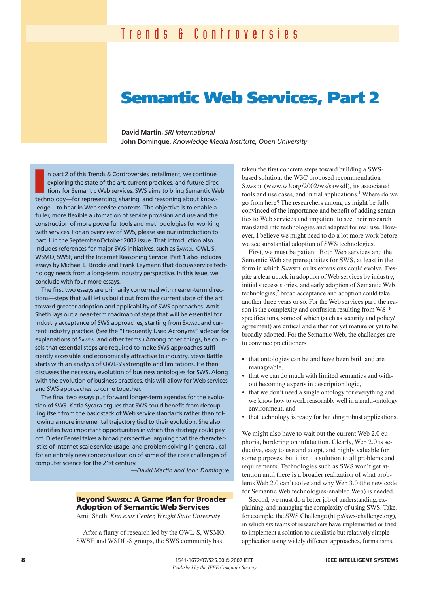# **Semantic Web Services, Part 2**

**David Martin,** *SRI International* **John Domingue,** *Knowledge Media Institute, Open University*

**II** n part 2 of this Trends & Controversies installment, we continue exploring the state of the art, current practices, and future directions for Semantic Web services. SWS aims to bring Semantic Wechnology—for representi n part 2 of this Trends & Controversies installment, we continue exploring the state of the art, current practices, and future directions for Semantic Web services. SWS aims to bring Semantic Web ledge—to bear in Web service contexts. The objective is to enable a fuller, more flexible automation of service provision and use and the construction of more powerful tools and methodologies for working with services. For an overview of SWS, please see our introduction to part 1 in the September/October 2007 issue. That introduction also includes references for major SWS initiatives, such as SAWSDL, OWL-S. WSMO, SWSF, and the Internet Reasoning Service. Part 1 also includes essays by Michael L. Brodie and Frank Leymann that discuss service technology needs from a long-term industry perspective. In this issue, we conclude with four more essays.

The first two essays are primarily concerned with nearer-term directions—steps that will let us build out from the current state of the art toward greater adoption and applicability of SWS approaches. Amit Sheth lays out a near-term roadmap of steps that will be essential for industry acceptance of SWS approaches, starting from SAWSDL and current industry practice. (See the "Frequently Used Acronyms" sidebar for explanations of SAWDSL and other terms.) Among other things, he counsels that essential steps are required to make SWS approaches sufficiently accessible and economically attractive to industry. Steve Battle starts with an analysis of OWL-S's strengths and limitations. He then discusses the necessary evolution of business ontologies for SWS. Along with the evolution of business practices, this will allow for Web services and SWS approaches to come together.

The final two essays put forward longer-term agendas for the evolution of SWS. Katia Sycara argues that SWS could benefit from decoupling itself from the basic stack of Web service standards rather than following a more incremental trajectory tied to their evolution. She also identifies two important opportunities in which this strategy could pay off. Dieter Fensel takes a broad perspective, arguing that the characteristics of Internet-scale service usage, and problem solving in general, call for an entirely new conceptualization of some of the core challenges of computer science for the 21st century.

*—David Martin and John Domingue*

### **Beyond SAWSDL: A Game Plan for Broader Adoption of Semantic Web Services**

Amit Sheth, *Kno.e.sis Center, Wright State University*

After a flurry of research led by the OWL-S, WSMO, SWSF, and WSDL-S groups, the SWS community has

taken the first concrete steps toward building a SWSbased solution: the W3C proposed recommendation SAWSDL (www.w3.org/2002/ws/sawsdl), its associated tools and use cases, and initial applications.<sup>1</sup> Where do we go from here? The researchers among us might be fully convinced of the importance and benefit of adding semantics to Web services and impatient to see their research translated into technologies and adapted for real use. However, I believe we might need to do a lot more work before we see substantial adoption of SWS technologies.

First, we must be patient. Both Web services and the Semantic Web are prerequisites for SWS, at least in the form in which SAWSDL or its extensions could evolve. Despite a clear uptick in adoption of Web services by industry, initial success stories, and early adoption of Semantic Web technologies,<sup>2</sup> broad acceptance and adoption could take another three years or so. For the Web services part, the reason is the complexity and confusion resulting from WS-\* specifications, some of which (such as security and policy/ agreement) are critical and either not yet mature or yet to be broadly adopted. For the Semantic Web, the challenges are to convince practitioners

- that ontologies can be and have been built and are manageable,
- that we can do much with limited semantics and without becoming experts in description logic,
- that we don't need a single ontology for everything and we know how to work reasonably well in a multi-ontology environment, and
- that technology is ready for building robust applications.

We might also have to wait out the current Web 2.0 euphoria, bordering on infatuation. Clearly, Web 2.0 is seductive, easy to use and adopt, and highly valuable for some purposes, but it isn't a solution to all problems and requirements. Technologies such as SWS won't get attention until there is a broader realization of what problems Web 2.0 can't solve and why Web 3.0 (the new code for Semantic Web technologies-enabled Web) is needed.

Second, we must do a better job of understanding, explaining, and managing the complexity of using SWS. Take, for example, the SWS Challenge (http://sws-challenge.org), in which six teams of researchers have implemented or tried to implement a solution to a realistic but relatively simple application using widely different approaches, formalisms,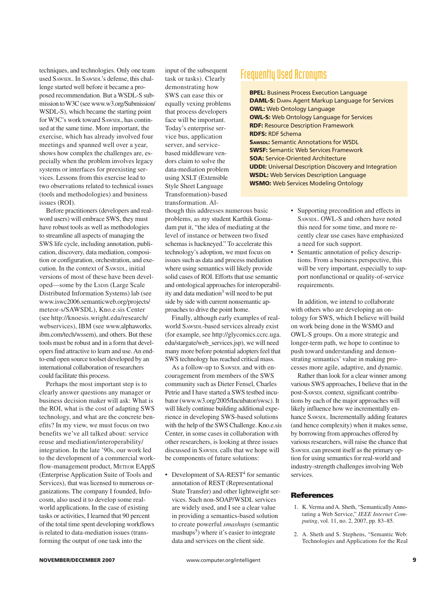techniques, and technologies. Only one team used SAWSDL. In SAWSDL's defense, this challenge started well before it became a proposed recommendation. But a WSDL-S submission to W3C (see www.w3.org/Submission/ WSDL-S), which became the starting point for W3C's work toward SAWSDL, has continued at the same time. More important, the exercise, which has already involved four meetings and spanned well over a year, shows how complex the challenges are, especially when the problem involves legacy systems or interfaces for preexisting services. Lessons from this exercise lead to two observations related to technical issues (tools and methodologies) and business issues (ROI).

Before practitioners (developers and realword users) will embrace SWS, they must have robust tools as well as methodologies to streamline all aspects of managing the SWS life cycle, including annotation, publication, discovery, data mediation, composition or configuration, orchestration, and execution. In the context of SAWSDL, initial versions of most of these have been developed—some by the LSDIS (Large Scale Distributed Information Systems) lab (see www.iswc2006.semanticweb.org/projects/ meteor-s/SAWSDL), Kno.e.sis Center (see http://knoesis.wright.edu/research/ webservices), IBM (see www.alphaworks. ibm.com/tech/wssem), and others. But these tools must be robust and in a form that developers find attractive to learn and use. An endto-end open source toolset developed by an international collaboration of researchers could facilitate this process.

Perhaps the most important step is to clearly answer questions any manager or business decision maker will ask: What is the ROI, what is the cost of adapting SWS technology, and what are the concrete benefits? In my view, we must focus on two benefits we've all talked about: service reuse and mediation/interoperability/ integration. In the late '90s, our work led to the development of a commercial workflow-management product, METEOR EAppS (Enterprise Application Suite of Tools and Services), that was licensed to numerous organizations. The company I founded, Infocosm, also used it to develop some realworld applications. In the case of existing tasks or activities, I learned that 90 percent of the total time spent developing workflows is related to data-mediation issues (transforming the output of one task into the

input of the subsequent task or tasks). Clearly demonstrating how SWS can ease this or equally vexing problems that process developers face will be important. Today's enterprise service bus, application server, and servicebased middleware vendors claim to solve the data-mediation problem using XSLT (Extensible Style Sheet Language Transformation)-based transformation. Al-

though this addresses numerous basic problems, as my student Karthik Gomadam put it, "the idea of mediating at the level of instance or between two fixed schemas is hackneyed." To accelerate this technology's adoption, we must focus on issues such as data and process mediation where using semantics will likely provide solid cases of ROI. Efforts that use semantic and ontological approaches for interoperability and data mediation<sup>3</sup> will need to be put side by side with current nonsemantic approaches to drive the point home.

Finally, although early examples of realworld SAWSDL-based services already exist (for example, see http://glycomics.ccrc.uga. edu/stargate/web\_services.jsp), we will need many more before potential adopters feel that SWS technology has reached critical mass.

As a follow-up to SAWSDL and with encouragement from members of the SWS community such as Dieter Fensel, Charles Petrie and I have started a SWS testbed incubator (www.w3.org/2005/Incubator/swsc). It will likely continue building additional experience in developing SWS-based solutions with the help of the SWS Challenge. Kno.e.sis Center, in some cases in collaboration with other researchers, is looking at three issues discussed in SAWSDL calls that we hope will be components of future solutions:

• Development of SA-REST<sup>4</sup> for semantic annotation of REST (Representational State Transfer) and other lightweight services. Such non-SOAP/WSDL services are widely used, and I see a clear value in providing a semantics-based solution to create powerful *smashups* (semantic mashups $<sup>5</sup>$ ) where it's easier to integrate</sup> data and services on the client side.

## Frequently Used Acronyms

**BPEL:** Business Process Execution Language **DAML-S:** DARPA Agent Markup Language for Services **OWL:** Web Ontology Language **OWL-S:** Web Ontology Language for Services **RDF:** Resource Description Framework **RDFS:** RDF Schema **SAWSDL:** Semantic Annotations for WSDL **SWSF:** Semantic Web Services Framework **SOA: Service-Oriented Architecture UDDI:** Universal Description Discovery and Integration **WSDL:** Web Services Description Language **WSMO:** Web Services Modeling Ontology

- Supporting precondition and effects in SAWSDL. OWL-S and others have noted this need for some time, and more recently clear use cases have emphasized a need for such support.
- Semantic annotation of policy descriptions. From a business perspective, this will be very important, especially to support nonfunctional or quality-of-service requirements.

In addition, we intend to collaborate with others who are developing an ontology for SWS, which I believe will build on work being done in the WSMO and OWL-S groups. On a more strategic and longer-term path, we hope to continue to push toward understanding and demonstrating semantics' value in making processes more agile, adaptive, and dynamic.

Rather than look for a clear winner among various SWS approaches, I believe that in the post-SAWSDL context, significant contributions by each of the major approaches will likely influence how we incrementally enhance SAWSDL. Incrementally adding features (and hence complexity) when it makes sense, by borrowing from approaches offered by various researchers, will raise the chance that SAWSDL can present itself as the primary option for using semantics for real-world and industry-strength challenges involving Web services.

#### **References**

- 1. K. Verma and A. Sheth, "Semantically Annotating a Web Service," *IEEE Internet Computing*, vol. 11, no. 2, 2007, pp. 83–85.
- 2. A. Sheth and S. Stephens, "Semantic Web: Technologies and Applications for the Real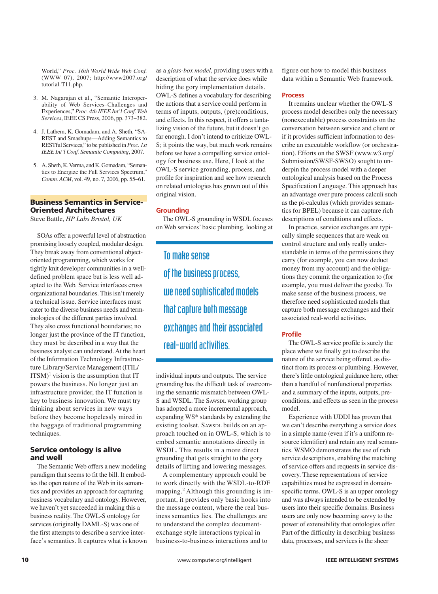World," *Proc. 16th World Wide Web Conf.* (WWW 07), 2007; http://www2007.org/ tutorial-T11.php.

- 3. M. Nagarajan et al., "Semantic Interoperability of Web Services–Challenges and Experiences," *Proc. 4th IEEE Int'l Conf. Web Services*, IEEE CS Press, 2006, pp. 373–382.
- 4. J. Lathem, K. Gomadam, and A. Sheth, "SA-REST and Smashups—Adding Semantics to RESTful Services," to be published in *Proc. 1st IEEE Int'l Conf. Semantic Computing*, 2007.
- 5. A. Sheth, K. Verma, and K. Gomadam, "Semantics to Energize the Full Services Spectrum," *Comm. ACM*, vol. 49, no. 7, 2006, pp. 55–61.

### **Business Semantics in Service-Oriented Architectures**

Steve Battle, *HP Labs Bristol, UK*

SOAs offer a powerful level of abstraction promising loosely coupled, modular design. They break away from conventional objectoriented programming, which works for tightly knit developer communities in a welldefined problem space but is less well adapted to the Web. Service interfaces cross organizational boundaries. This isn't merely a technical issue. Service interfaces must cater to the diverse business needs and terminologies of the different parties involved. They also cross functional boundaries; no longer just the province of the IT function, they must be described in a way that the business analyst can understand. At the heart of the Information Technology Infrastructure Library/Service Management (ITIL/  $ITSM$ <sup>1</sup> vision is the assumption that IT powers the business. No longer just an infrastructure provider, the IT function is key to business innovation. We must try thinking about services in new ways before they become hopelessly mired in the baggage of traditional programming techniques.

#### **Service ontology is alive and well**

The Semantic Web offers a new modeling paradigm that seems to fit the bill. It embodies the open nature of the Web in its semantics and provides an approach for capturing business vocabulary and ontology. However, we haven't yet succeeded in making this a business reality. The OWL-S ontology for services (originally DAML-S) was one of the first attempts to describe a service interface's semantics. It captures what is known

as a *glass-box model*, providing users with a description of what the service does while hiding the gory implementation details. OWL-S defines a vocabulary for describing the actions that a service could perform in terms of inputs, outputs, (pre)conditions, and effects. In this respect, it offers a tantalizing vision of the future, but it doesn't go far enough. I don't intend to criticize OWL-S; it points the way, but much work remains before we have a compelling service ontology for business use. Here, I look at the OWL-S service grounding, process, and profile for inspiration and see how research on related ontologies has grown out of this original vision.

#### **Grounding**

The OWL-S grounding in WSDL focuses on Web services' basic plumbing, looking at

To make sense of the business process, we need sophisticated models that capture both message exchanges and their associated real-world activities.

individual inputs and outputs. The service grounding has the difficult task of overcoming the semantic mismatch between OWL-S and WSDL. The SAWSDL working group has adopted a more incremental approach, expanding WS\* standards by extending the existing toolset. SAWSDL builds on an approach touched on in OWL-S, which is to embed semantic annotations directly in WSDL. This results in a more direct grounding that gets straight to the gory details of lifting and lowering messages.

A complementary approach could be to work directly with the WSDL-to-RDF mapping.<sup>2</sup> Although this grounding is important, it provides only basic hooks into the message content, where the real business semantics lies. The challenges are to understand the complex documentexchange style interactions typical in business-to-business interactions and to

figure out how to model this business data within a Semantic Web framework.

#### **Process**

It remains unclear whether the OWL-S process model describes only the necessary (nonexecutable) process constraints on the conversation between service and client or if it provides sufficient information to describe an executable workflow (or orchestration). Efforts on the SWSF (www.w3.org/ Submission/SWSF-SWSO) sought to underpin the process model with a deeper ontological analysis based on the Process Specification Language. This approach has an advantage over pure process calculi such as the pi-calculus (which provides semantics for BPEL) because it can capture rich descriptions of conditions and effects.

In practice, service exchanges are typically simple sequences that are weak on control structure and only really understandable in terms of the permissions they carry (for example, you can now deduct money from my account) and the obligations they commit the organization to (for example, you must deliver the goods). To make sense of the business process, we therefore need sophisticated models that capture both message exchanges and their associated real-world activities.

#### **Profile**

The OWL-S service profile is surely the place where we finally get to describe the nature of the service being offered, as distinct from its process or plumbing. However, there's little ontological guidance here, other than a handful of nonfunctional properties and a summary of the inputs, outputs, preconditions, and effects as seen in the process model.

Experience with UDDI has proven that we can't describe everything a service does in a simple name (even if it's a uniform resource identifier) and retain any real semantics. WSMO demonstrates the use of rich service descriptions, enabling the matching of service offers and requests in service discovery. These representations of service capabilities must be expressed in domainspecific terms. OWL-S is an upper ontology and was always intended to be extended by users into their specific domains. Business users are only now becoming savvy to the power of extensibility that ontologies offer. Part of the difficulty in describing business data, processes, and services is the sheer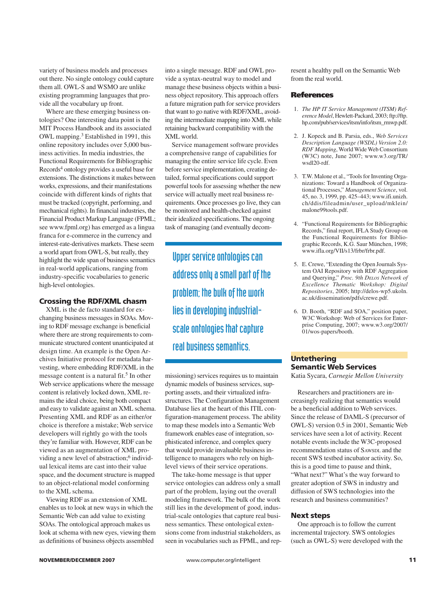variety of business models and processes out there. No single ontology could capture them all. OWL-S and WSMO are unlike existing programming languages that provide all the vocabulary up front.

Where are these emerging business ontologies? One interesting data point is the MIT Process Handbook and its associated OWL mapping.<sup>3</sup> Established in 1991, this online repository includes over 5,000 business activities. In media industries, the Functional Requirements for Bibliographic Records4 ontology provides a useful base for extensions. The distinctions it makes between works, expressions, and their manifestations coincide with different kinds of rights that must be tracked (copyright, performing, and mechanical rights). In financial industries, the Financial Product Markup Language (FPML; see www.fpml.org) has emerged as a lingua franca for e-commerce in the currency and interest-rate-derivatives markets. These seem a world apart from OWL-S, but really, they highlight the wide span of business semantics in real-world applications, ranging from industry-specific vocabularies to generic high-level ontologies.

#### **Crossing the RDF/XML chasm**

XML is the de facto standard for exchanging business messages in SOAs. Moving to RDF message exchange is beneficial where there are strong requirements to communicate structured content unanticipated at design time. An example is the Open Archives Initiative protocol for metadata harvesting, where embedding RDF/XML in the message content is a natural fit.<sup>5</sup> In other Web service applications where the message content is relatively locked down, XML remains the ideal choice, being both compact and easy to validate against an XML schema. Presenting XML and RDF as an either/or choice is therefore a mistake; Web service developers will rightly go with the tools they're familiar with. However, RDF can be viewed as an augmentation of XML providing a new level of abstraction;<sup>6</sup> individual lexical items are cast into their value space, and the document structure is mapped to an object-relational model conforming to the XML schema.

Viewing RDF as an extension of XML enables us to look at new ways in which the Semantic Web can add value to existing SOAs. The ontological approach makes us look at schema with new eyes, viewing them as definitions of business objects assembled

into a single message. RDF and OWL provide a syntax-neutral way to model and manage these business objects within a business object repository. This approach offers a future migration path for service providers that want to go native with RDF/XML, avoiding the intermediate mapping into XML while retaining backward compatibility with the XML world.

Service management software provides a comprehensive range of capabilities for managing the entire service life cycle. Even before service implementation, creating detailed, formal specifications could support powerful tools for assessing whether the new service will actually meet real business requirements. Once processes go live, they can be monitored and health-checked against their idealized specifications. The ongoing task of managing (and eventually decom-

Upper service ontologies can address only a small part of the problem; the bulk of the work lies in developing industrialscale ontologies that capture real business semantics.

missioning) services requires us to maintain dynamic models of business services, supporting assets, and their virtualized infrastructures. The Configuration Management Database lies at the heart of this ITIL configuration-management process. The ability to map these models into a Semantic Web framework enables ease of integration, sophisticated inference, and complex query that would provide invaluable business intelligence to managers who rely on highlevel views of their service operations.

The take-home message is that upper service ontologies can address only a small part of the problem, laying out the overall modeling framework. The bulk of the work still lies in the development of good, industrial-scale ontologies that capture real business semantics. These ontological extensions come from industrial stakeholders, as seen in vocabularies such as FPML, and represent a healthy pull on the Semantic Web from the real world.

#### **References**

- 1. *The HP IT Service Management (ITSM) Reference Model*, Hewlett-Packard, 2003; ftp://ftp. hp.com/pub/services/itsm/info/itsm\_rmwp.pdf.
- 2. J. Kopeck and B. Parsia, eds., *Web Services Description Language (WSDL) Version 2.0: RDF Mapping*, World Wide Web Consortium (W3C) note, June 2007; www.w3.org/TR/ wsdl20-rdf.
- 3. T.W. Malone et al., "Tools for Inventing Organizations: Toward a Handbook of Organizational Processes," *Management Science*, vol. 45, no. 3, 1999, pp. 425–443; www.ifi.unizh. ch/ddis/fileadmin/user\_upload/mklein/ malone99tools.pdf.
- 4. "Functional Requirements for Bibliographic Records," final report, IFLA Study Group on the Functional Requirements for Bibliographic Records, K.G. Saur München, 1998; www.ifla.org/VII/s13/frbr/frbr.pdf.
- 5. E. Crewe, "Extending the Open Journals System OAI Repository with RDF Aggregation and Querying," *Proc. 9th DELOS Network of Excellence Thematic Workshop: Digital Repositories*, 2005; http://delos-wp5.ukoln. ac.uk/dissemination/pdfs/crewe.pdf.
- 6. D. Booth, "RDF and SOA," position paper, W3C Workshop: Web of Services for Enterprise Computing, 2007; www.w3.org/2007/ 01/wos-papers/booth.

#### **Untethering Semantic Web Services**

Katia Sycara, *Carnegie Mellon University*

Researchers and practitioners are increasingly realizing that semantics would be a beneficial addition to Web services. Since the release of DAML-S (precursor of OWL-S) version 0.5 in 2001, Semantic Web services have seen a lot of activity. Recent notable events include the W3C-proposed recommendation status of SAWSDL and the recent SWS testbed incubator activity. So, this is a good time to pause and think, "What next?" What's the way forward to greater adoption of SWS in industry and diffusion of SWS technologies into the research and business communities?

#### **Next steps**

One approach is to follow the current incremental trajectory. SWS ontologies (such as OWL-S) were developed with the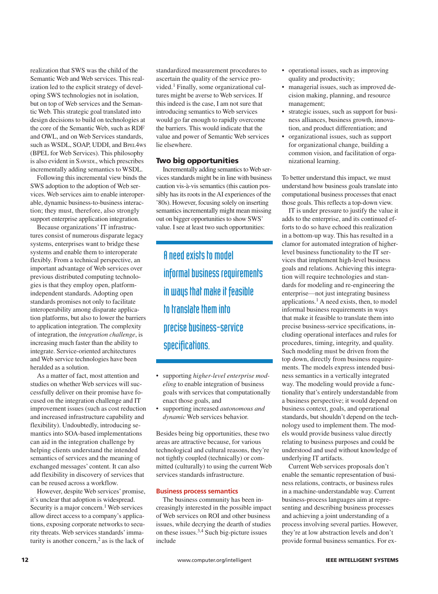realization that SWS was the child of the Semantic Web and Web services. This realization led to the explicit strategy of developing SWS technologies not in isolation, but on top of Web services and the Semantic Web. This strategic goal translated into design decisions to build on technologies at the core of the Semantic Web, such as RDF and OWL, and on Web Services standards, such as WSDL, SOAP, UDDI, and BPEL4ws (BPEL for Web Services). This philosophy is also evident in SAWSDL, which prescribes incrementally adding semantics to WSDL.

Following this incremental view binds the SWS adoption to the adoption of Web services. Web services aim to enable interoperable, dynamic business-to-business interaction; they must, therefore, also strongly support enterprise application integration.

Because organizations' IT infrastructures consist of numerous disparate legacy systems, enterprises want to bridge these systems and enable them to interoperate flexibly. From a technical perspective, an important advantage of Web services over previous distributed computing technologies is that they employ open, platformindependent standards. Adopting open standards promises not only to facilitate interoperability among disparate application platforms, but also to lower the barriers to application integration. The complexity of integration, the *integration challenge*, is increasing much faster than the ability to integrate. Service-oriented architectures and Web service technologies have been heralded as a solution.

As a matter of fact, most attention and studies on whether Web services will successfully deliver on their promise have focused on the integration challenge and IT improvement issues (such as cost reduction and increased infrastructure capability and flexibility). Undoubtedly, introducing semantics into SOA-based implementations can aid in the integration challenge by helping clients understand the intended semantics of services and the meaning of exchanged messages' content. It can also add flexibility in discovery of services that can be reused across a workflow.

However, despite Web services' promise, it's unclear that adoption is widespread. Security is a major concern.<sup>1</sup> Web services allow direct access to a company's applications, exposing corporate networks to security threats. Web services standards' immaturity is another concern, $<sup>2</sup>$  as is the lack of</sup>

standardized measurement procedures to ascertain the quality of the service provided.<sup>1</sup> Finally, some organizational cultures might be averse to Web services. If this indeed is the case, I am not sure that introducing semantics to Web services would go far enough to rapidly overcome the barriers. This would indicate that the value and power of Semantic Web services lie elsewhere.

#### **Two big opportunities**

Incrementally adding semantics to Web services standards might be in line with business caution vis-à-vis semantics (this caution possibly has its roots in the AI experiences of the '80s). However, focusing solely on inserting semantics incrementally might mean missing out on bigger opportunities to show SWS' value. I see at least two such opportunities:

A need exists to model informal business requirements in ways that make it feasible to translate them into precise business-service specifications.

- supporting *higher-level enterprise modeling* to enable integration of business goals with services that computationally enact those goals, and
- supporting increased *autonomous and dynamic* Web services behavior.

Besides being big opportunities, these two areas are attractive because, for various technological and cultural reasons, they're not tightly coupled (technically) or committed (culturally) to using the current Web services standards infrastructure.

#### **Business process semantics**

The business community has been increasingly interested in the possible impact of Web services on ROI and other business issues, while decrying the dearth of studies on these issues.3,4 Such big-picture issues include

- operational issues, such as improving quality and productivity;
- managerial issues, such as improved decision making, planning, and resource management;
- strategic issues, such as support for business alliances, business growth, innovation, and product differentiation; and
- organizational issues, such as support for organizational change, building a common vision, and facilitation of organizational learning.

To better understand this impact, we must understand how business goals translate into computational business processes that enact those goals. This reflects a top-down view.

IT is under pressure to justify the value it adds to the enterprise, and its continued efforts to do so have echoed this realization in a bottom-up way. This has resulted in a clamor for automated integration of higherlevel business functionality to the IT services that implement high-level business goals and relations. Achieving this integration will require technologies and standards for modeling and re-engineering the enterprise—not just integrating business applications.<sup>1</sup> A need exists, then, to model informal business requirements in ways that make it feasible to translate them into precise business-service specifications, including operational interfaces and rules for procedures, timing, integrity, and quality. Such modeling must be driven from the top down, directly from business requirements. The models express intended business semantics in a vertically integrated way. The modeling would provide a functionality that's entirely understandable from a business perspective; it would depend on business context, goals, and operational standards, but shouldn't depend on the technology used to implement them. The models would provide business value directly relating to business purposes and could be understood and used without knowledge of underlying IT artifacts.

Current Web services proposals don't enable the semantic representation of business relations, contracts, or business rules in a machine-understandable way. Current business-process languages aim at representing and describing business processes and achieving a joint understanding of a process involving several parties. However, they're at low abstraction levels and don't provide formal business semantics. For ex-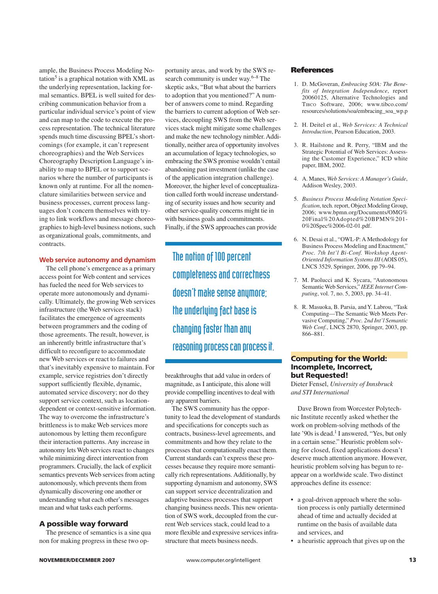ample, the Business Process Modeling Notation $5$  is a graphical notation with XML as the underlying representation, lacking formal semantics. BPEL is well suited for describing communication behavior from a particular individual service's point of view and can map to the code to execute the process representation. The technical literature spends much time discussing BPEL's shortcomings (for example, it can't represent choreographies) and the Web Services Choreography Description Language's inability to map to BPEL or to support scenarios where the number of participants is known only at runtime. For all the nomenclature similarities between service and business processes, current process languages don't concern themselves with trying to link workflows and message choreographies to high-level business notions, such as organizational goals, commitments, and contracts.

#### **Web service autonomy and dynamism**

The cell phone's emergence as a primary access point for Web content and services has fueled the need for Web services to operate more autonomously and dynamically. Ultimately, the growing Web services infrastructure (the Web services stack) facilitates the emergence of agreements between programmers and the coding of those agreements. The result, however, is an inherently brittle infrastructure that's difficult to reconfigure to accommodate new Web services or react to failures and that's inevitably expensive to maintain. For example, service registries don't directly support sufficiently flexible, dynamic, automated service discovery; nor do they support service context, such as locationdependent or context-sensitive information. The way to overcome the infrastructure's brittleness is to make Web services more autonomous by letting them reconfigure their interaction patterns. Any increase in autonomy lets Web services react to changes while minimizing direct intervention from programmers. Crucially, the lack of explicit semantics prevents Web services from acting autonomously, which prevents them from dynamically discovering one another or understanding what each other's messages mean and what tasks each performs.

#### **A possible way forward**

The presence of semantics is a sine qua non for making progress in these two opportunity areas, and work by the SWS research community is under way.<sup>6-8</sup> The skeptic asks, "But what about the barriers to adoption that you mentioned?" A number of answers come to mind. Regarding the barriers to current adoption of Web services, decoupling SWS from the Web services stack might mitigate some challenges and make the new technology nimbler. Additionally, neither area of opportunity involves an accumulation of legacy technologies, so embracing the SWS promise wouldn't entail abandoning past investment (unlike the case of the application integration challenge). Moreover, the higher level of conceptualization called forth would increase understanding of security issues and how security and other service-quality concerns might tie in with business goals and commitments. Finally, if the SWS approaches can provide

The notion of 100 percent completeness and correctness doesn't make sense anymore; the underlying fact base is changing faster than any reasoning process can process it.

breakthroughs that add value in orders of magnitude, as I anticipate, this alone will provide compelling incentives to deal with any apparent barriers.

The SWS community has the opportunity to lead the development of standards and specifications for concepts such as contracts, business-level agreements, and commitments and how they relate to the processes that computationally enact them. Current standards can't express these processes because they require more semantically rich representations. Additionally, by supporting dynamism and autonomy, SWS can support service decentralization and adaptive business processes that support changing business needs. This new orientation of SWS work, decoupled from the current Web services stack, could lead to a more flexible and expressive services infrastructure that meets business needs.

#### **References**

- 1. D. McGoveran, *Embracing SOA: The Benefits of Integration Independence*, report 20060125, Alternative Technologies and TIBCO Software, 2006; www.tibco.com/ resources/solutions/soa/embracing\_soa\_wp.p
- 2. H. Deitel et al., *Web Services: A Technical Introduction*, Pearson Education, 2003.
- 3. R. Hailstone and R. Perry, "IBM and the Strategic Potential of Web Services: Assessing the Customer Experience," ICD white paper, IBM, 2002.
- 4. A. Manes, *Web Services: A Manager's Guide*, Addison Wesley, 2003.
- 5. *Business Process Modeling Notation Specification*, tech. report, Object Modeling Group, 2006; www.bpmn.org/Documents/OMG% 20Final%20Adopted%20BPMN%201- 0%20Spec%2006-02-01.pdf.
- 6. N. Desai et al., "OWL-P: A Methodology for Business Process Modeling and Enactment," *Proc. 7th Int'l Bi-Conf. Workshop Agent-Oriented Information Systems III* (AOIS 05), LNCS 3529, Springer, 2006, pp 79–94.
- 7. M. Paolucci and K. Sycara, "Autonomous Semantic Web Services," *IEEE Internet Computing*, vol. 7, no. 5, 2003, pp. 34–41.
- 8. R. Masuoka, B. Parsia, and Y. Labrou, "Task Computing—The Semantic Web Meets Pervasive Computing," *Proc. 2nd Int'l Semantic Web Conf.*, LNCS 2870, Springer, 2003, pp. 866–881.

#### **Computing for the World: Incomplete, Incorrect, but Requested!**

Dieter Fensel, *University of Innsbruck and STI International*

Dave Brown from Worcester Polytechnic Institute recently asked whether the work on problem-solving methods of the late '90s is dead.<sup>1</sup> I answered, "Yes, but only in a certain sense." Heuristic problem solving for closed, fixed applications doesn't deserve much attention anymore. However, heuristic problem solving has begun to reappear on a worldwide scale. Two distinct approaches define its essence:

- a goal-driven approach where the solution process is only partially determined ahead of time and actually decided at runtime on the basis of available data and services, and
- a heuristic approach that gives up on the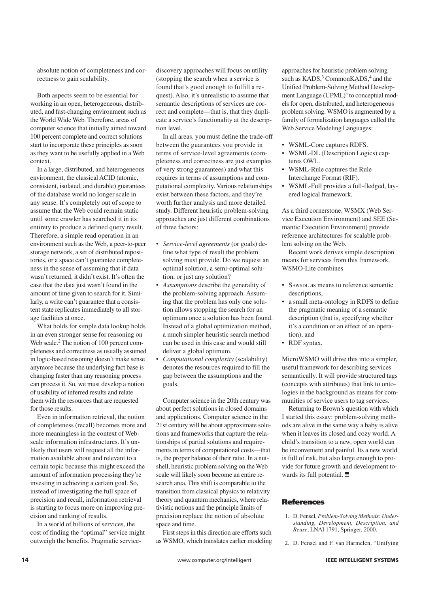absolute notion of completeness and correctness to gain scalability.

Both aspects seem to be essential for working in an open, heterogeneous, distributed, and fast-changing environment such as the World Wide Web. Therefore, areas of computer science that initially aimed toward 100 percent complete and correct solutions start to incorporate these principles as soon as they want to be usefully applied in a Web context.

In a large, distributed, and heterogeneous environment, the classical ACID (atomic, consistent, isolated, and durable) guarantees of the database world no longer scale in any sense. It's completely out of scope to assume that the Web could remain static until some crawler has searched it in its entirety to produce a defined query result. Therefore, a simple read operation in an environment such as the Web, a peer-to-peer storage network, a set of distributed repositories, or a space can't guarantee completeness in the sense of assuming that if data wasn't returned, it didn't exist. It's often the case that the data just wasn't found in the amount of time given to search for it. Similarly, a write can't guarantee that a consistent state replicates immediately to all storage facilities at once.

What holds for simple data lookup holds in an even stronger sense for reasoning on Web scale.<sup>2</sup> The notion of 100 percent completeness and correctness as usually assumed in logic-based reasoning doesn't make sense anymore because the underlying fact base is changing faster than any reasoning process can process it. So, we must develop a notion of usability of inferred results and relate them with the resources that are requested for those results.

Even in information retrieval, the notion of completeness (recall) becomes more and more meaningless in the context of Webscale information infrastructures. It's unlikely that users will request all the information available about and relevant to a certain topic because this might exceed the amount of information processing they're investing in achieving a certain goal. So, instead of investigating the full space of precision and recall, information retrieval is starting to focus more on improving precision and ranking of results.

In a world of billions of services, the cost of finding the "optimal" service might outweigh the benefits. Pragmatic servicediscovery approaches will focus on utility (stopping the search when a service is found that's good enough to fulfill a request). Also, it's unrealistic to assume that semantic descriptions of services are correct and complete—that is, that they duplicate a service's functionality at the description level.

In all areas, you must define the trade-off between the guarantees you provide in terms of service-level agreements (completeness and correctness are just examples of very strong guarantees) and what this requires in terms of assumptions and computational complexity. Various relationships exist between these factors, and they're worth further analysis and more detailed study. Different heuristic problem-solving approaches are just different combinations of three factors:

- *Service-level agreements* (or goals) define what type of result the problem solving must provide. Do we request an optimal solution, a semi-optimal solution, or just any solution?
- *Assumptions* describe the generality of the problem-solving approach. Assuming that the problem has only one solution allows stopping the search for an optimum once a solution has been found. Instead of a global optimization method, a much simpler heuristic search method can be used in this case and would still deliver a global optimum.
- *Computational complexity* (scalability) denotes the resources required to fill the gap between the assumptions and the goals.

Computer science in the 20th century was about perfect solutions in closed domains and applications. Computer science in the 21st century will be about approximate solutions and frameworks that capture the relationships of partial solutions and requirements in terms of computational costs—that is, the proper balance of their ratio. In a nutshell, heuristic problem solving on the Web scale will likely soon become an entire research area. This shift is comparable to the transition from classical physics to relativity theory and quantum mechanics, where relativistic notions and the principle limits of precision replace the notion of absolute space and time.

First steps in this direction are efforts such as WSMO, which translates earlier modeling approaches for heuristic problem solving such as KADS,<sup>3</sup> CommonKADS,<sup>4</sup> and the Unified Problem-Solving Method Development Language  $(UPML)^5$  to conceptual models for open, distributed, and heterogeneous problem solving. WSMO is augmented by a family of formalization languages called the Web Service Modeling Languages:

- WSML-Core captures RDFS.
- WSML-DL (Description Logics) captures OWL.
- WSML-Rule captures the Rule Interchange Format (RIF).
- WSML-Full provides a full-fledged, layered logical framework.

As a third cornerstone, WSMX (Web Service Execution Environment) and SEE (Semantic Execution Environment) provide reference architectures for scalable problem solving on the Web.

Recent work derives simple description means for services from this framework. WSMO-Lite combines

- SAWSDL as means to reference semantic descriptions,
- a small meta-ontology in RDFS to define the pragmatic meaning of a semantic description (that is, specifying whether it's a condition or an effect of an operation), and
- RDF syntax.

MicroWSMO will drive this into a simpler, useful framework for describing services semantically. It will provide structured tags (concepts with attributes) that link to ontologies in the background as means for communities of service users to tag services.

Returning to Brown's question with which I started this essay: problem-solving methods are alive in the same way a baby is alive when it leaves its closed and cozy world. A child's transition to a new, open world can be inconvenient and painful. Its a new world is full of risk, but also large enough to provide for future growth and development towards its full potential.

#### **References**

- 1. D. Fensel, *Problem-Solving Methods: Understanding, Development, Description, and Reuse*, LNAI 1791, Springer, 2000.
- 2. D. Fensel and F. van Harmelen, "Unifying